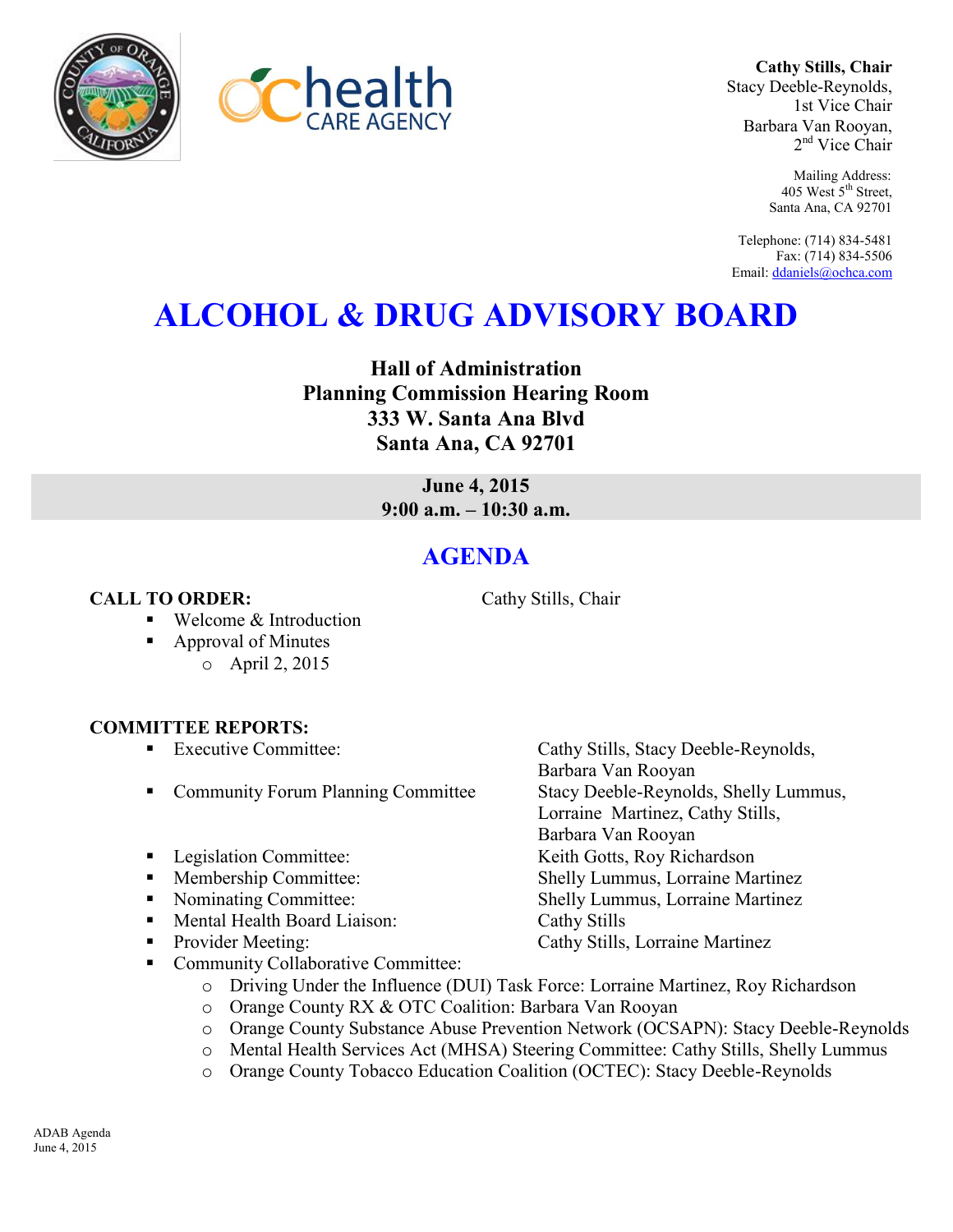



**Cathy Stills, Chair** Stacy Deeble-Reynolds, 1st Vice Chair Barbara Van Rooyan, 2<sup>nd</sup> Vice Chair

> Mailing Address: 405 West 5<sup>th</sup> Street, Santa Ana, CA 92701

Telephone: (714) 834-5481 Fax: (714) 834-5506 Email[: ddaniels@ochca.com](mailto:ddaniels@ochca.com)

## **ALCOHOL & DRUG ADVISORY BOARD**

**Hall of Administration Planning Commission Hearing Room 333 W. Santa Ana Blvd Santa Ana, CA 92701** 

> **June 4, 2015 9:00 a.m. – 10:30 a.m.**

## **AGENDA**

**CALL TO ORDER:** Cathy Stills, Chair

- Welcome & Introduction
- Approval of Minutes
	- o April 2, 2015

## **COMMITTEE REPORTS:**

- 
- Community Forum Planning Committee Stacy Deeble-Reynolds, Shelly Lummus,
- Legislation Committee: Keith Gotts, Roy Richardson
- 
- 
- Mental Health Board Liaison: Cathy Stills
- Provider Meeting: Cathy Stills, Lorraine Martinez
- Community Collaborative Committee:
	- o Driving Under the Influence (DUI) Task Force: Lorraine Martinez, Roy Richardson
	- o Orange County RX & OTC Coalition: Barbara Van Rooyan
	- o Orange County Substance Abuse Prevention Network (OCSAPN): Stacy Deeble-Reynolds
	- o Mental Health Services Act (MHSA) Steering Committee: Cathy Stills, Shelly Lummus
	- o Orange County Tobacco Education Coalition (OCTEC): Stacy Deeble-Reynolds

ADAB Agenda June 4, 2015

 Executive Committee: Cathy Stills, Stacy Deeble-Reynolds, Barbara Van Rooyan Lorraine Martinez, Cathy Stills, Barbara Van Rooyan Membership Committee: Shelly Lummus, Lorraine Martinez • Nominating Committee: Shelly Lummus, Lorraine Martinez